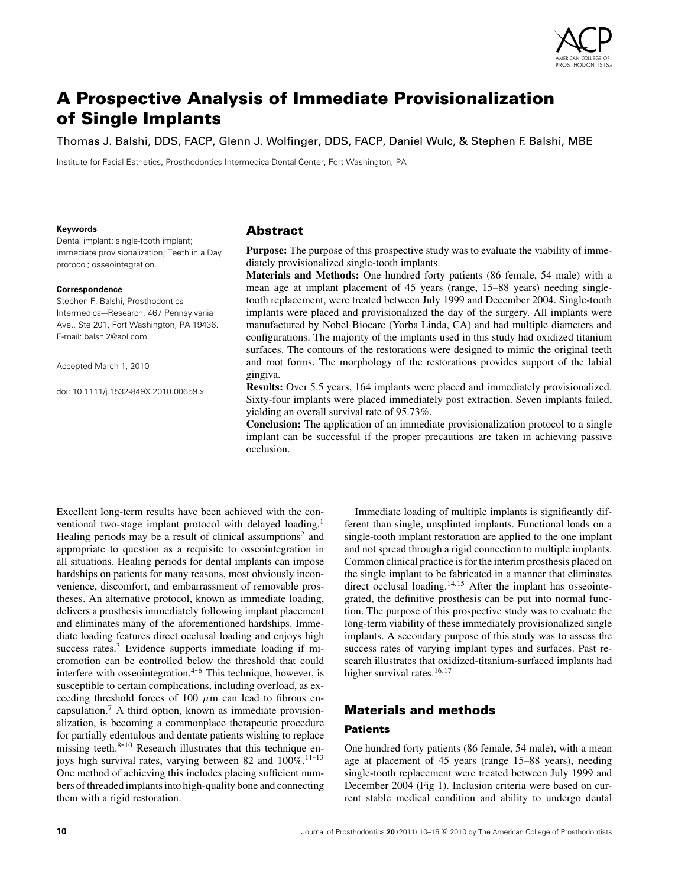

# **A Prospective Analysis of Immediate Provisionalization of Single Implants**

Thomas J. Balshi, DDS, FACP, Glenn J. Wolfinger, DDS, FACP, Daniel Wulc, & Stephen F. Balshi, MBE

Institute for Facial Esthetics, Prosthodontics Intermedica Dental Center, Fort Washington, PA

#### **Keywords**

Dental implant; single-tooth implant; immediate provisionalization; Teeth in a Day protocol; osseointegration.

#### **Correspondence**

Stephen F. Balshi, Prosthodontics Intermedica–-Research, 467 Pennsylvania Ave., Ste 201, Fort Washington, PA 19436. E-mail: balshi2@aol.com

Accepted March 1, 2010

doi: 10.1111/j.1532-849X.2010.00659.x

#### **Abstract**

**Purpose:** The purpose of this prospective study was to evaluate the viability of immediately provisionalized single-tooth implants.

**Materials and Methods:** One hundred forty patients (86 female, 54 male) with a mean age at implant placement of 45 years (range, 15–88 years) needing singletooth replacement, were treated between July 1999 and December 2004. Single-tooth implants were placed and provisionalized the day of the surgery. All implants were manufactured by Nobel Biocare (Yorba Linda, CA) and had multiple diameters and configurations. The majority of the implants used in this study had oxidized titanium surfaces. The contours of the restorations were designed to mimic the original teeth and root forms. The morphology of the restorations provides support of the labial gingiva.

**Results:** Over 5.5 years, 164 implants were placed and immediately provisionalized. Sixty-four implants were placed immediately post extraction. Seven implants failed, yielding an overall survival rate of 95.73%.

**Conclusion:** The application of an immediate provisionalization protocol to a single implant can be successful if the proper precautions are taken in achieving passive occlusion.

Excellent long-term results have been achieved with the conventional two-stage implant protocol with delayed loading.<sup>1</sup> Healing periods may be a result of clinical assumptions<sup>2</sup> and appropriate to question as a requisite to osseointegration in all situations. Healing periods for dental implants can impose hardships on patients for many reasons, most obviously inconvenience, discomfort, and embarrassment of removable prostheses. An alternative protocol, known as immediate loading, delivers a prosthesis immediately following implant placement and eliminates many of the aforementioned hardships. Immediate loading features direct occlusal loading and enjoys high success rates.<sup>3</sup> Evidence supports immediate loading if micromotion can be controlled below the threshold that could interfere with osseointegration. $4-6$  This technique, however, is susceptible to certain complications, including overload, as exceeding threshold forces of 100  $\mu$ m can lead to fibrous encapsulation.7 A third option, known as immediate provisionalization, is becoming a commonplace therapeutic procedure for partially edentulous and dentate patients wishing to replace missing teeth.<sup>8-10</sup> Research illustrates that this technique enjoys high survival rates, varying between 82 and  $100\%$ .<sup>11-13</sup> One method of achieving this includes placing sufficient numbers of threaded implants into high-quality bone and connecting them with a rigid restoration.

Immediate loading of multiple implants is significantly different than single, unsplinted implants. Functional loads on a single-tooth implant restoration are applied to the one implant and not spread through a rigid connection to multiple implants. Common clinical practice is for the interim prosthesis placed on the single implant to be fabricated in a manner that eliminates direct occlusal loading.<sup>14,15</sup> After the implant has osseointegrated, the definitive prosthesis can be put into normal function. The purpose of this prospective study was to evaluate the long-term viability of these immediately provisionalized single implants. A secondary purpose of this study was to assess the success rates of varying implant types and surfaces. Past research illustrates that oxidized-titanium-surfaced implants had higher survival rates.<sup>16,17</sup>

## **Materials and methods**

#### **Patients**

One hundred forty patients (86 female, 54 male), with a mean age at placement of 45 years (range 15–88 years), needing single-tooth replacement were treated between July 1999 and December 2004 (Fig 1). Inclusion criteria were based on current stable medical condition and ability to undergo dental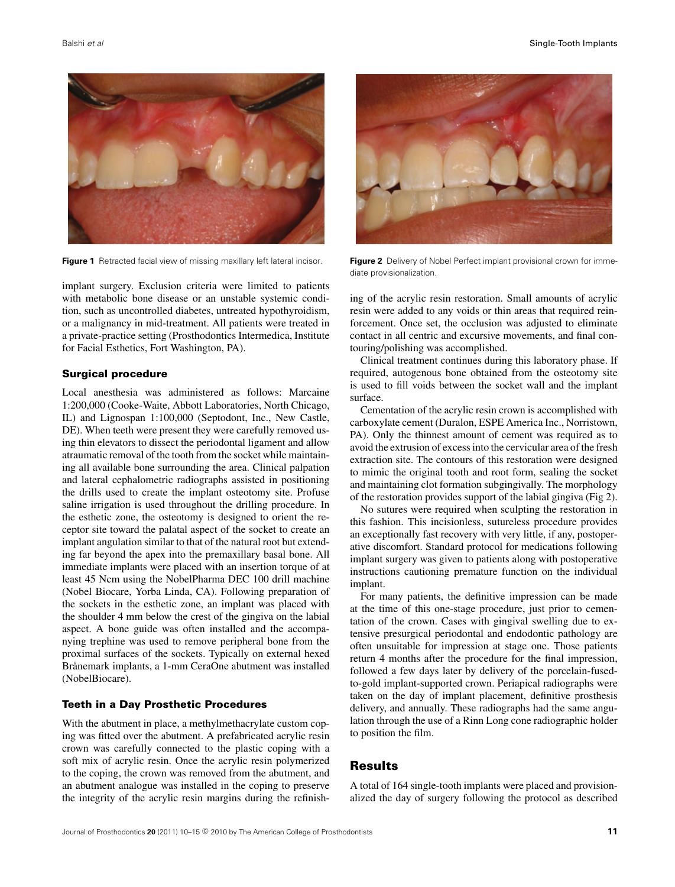

**Figure 1** Retracted facial view of missing maxillary left lateral incisor.

implant surgery. Exclusion criteria were limited to patients with metabolic bone disease or an unstable systemic condition, such as uncontrolled diabetes, untreated hypothyroidism, or a malignancy in mid-treatment. All patients were treated in a private-practice setting (Prosthodontics Intermedica, Institute for Facial Esthetics, Fort Washington, PA).

#### **Surgical procedure**

Local anesthesia was administered as follows: Marcaine 1:200,000 (Cooke-Waite, Abbott Laboratories, North Chicago, IL) and Lignospan 1:100,000 (Septodont, Inc., New Castle, DE). When teeth were present they were carefully removed using thin elevators to dissect the periodontal ligament and allow atraumatic removal of the tooth from the socket while maintaining all available bone surrounding the area. Clinical palpation and lateral cephalometric radiographs assisted in positioning the drills used to create the implant osteotomy site. Profuse saline irrigation is used throughout the drilling procedure. In the esthetic zone, the osteotomy is designed to orient the receptor site toward the palatal aspect of the socket to create an implant angulation similar to that of the natural root but extending far beyond the apex into the premaxillary basal bone. All immediate implants were placed with an insertion torque of at least 45 Ncm using the NobelPharma DEC 100 drill machine (Nobel Biocare, Yorba Linda, CA). Following preparation of the sockets in the esthetic zone, an implant was placed with the shoulder 4 mm below the crest of the gingiva on the labial aspect. A bone guide was often installed and the accompanying trephine was used to remove peripheral bone from the proximal surfaces of the sockets. Typically on external hexed Brånemark implants, a 1-mm CeraOne abutment was installed (NobelBiocare).

#### **Teeth in a Day Prosthetic Procedures**

With the abutment in place, a methylmethacrylate custom coping was fitted over the abutment. A prefabricated acrylic resin crown was carefully connected to the plastic coping with a soft mix of acrylic resin. Once the acrylic resin polymerized to the coping, the crown was removed from the abutment, and an abutment analogue was installed in the coping to preserve the integrity of the acrylic resin margins during the refinish-



**Figure 2** Delivery of Nobel Perfect implant provisional crown for immediate provisionalization.

ing of the acrylic resin restoration. Small amounts of acrylic resin were added to any voids or thin areas that required reinforcement. Once set, the occlusion was adjusted to eliminate contact in all centric and excursive movements, and final contouring/polishing was accomplished.

Clinical treatment continues during this laboratory phase. If required, autogenous bone obtained from the osteotomy site is used to fill voids between the socket wall and the implant surface.

Cementation of the acrylic resin crown is accomplished with carboxylate cement (Duralon, ESPE America Inc., Norristown, PA). Only the thinnest amount of cement was required as to avoid the extrusion of excess into the cervicular area of the fresh extraction site. The contours of this restoration were designed to mimic the original tooth and root form, sealing the socket and maintaining clot formation subgingivally. The morphology of the restoration provides support of the labial gingiva (Fig 2).

No sutures were required when sculpting the restoration in this fashion. This incisionless, sutureless procedure provides an exceptionally fast recovery with very little, if any, postoperative discomfort. Standard protocol for medications following implant surgery was given to patients along with postoperative instructions cautioning premature function on the individual implant.

For many patients, the definitive impression can be made at the time of this one-stage procedure, just prior to cementation of the crown. Cases with gingival swelling due to extensive presurgical periodontal and endodontic pathology are often unsuitable for impression at stage one. Those patients return 4 months after the procedure for the final impression, followed a few days later by delivery of the porcelain-fusedto-gold implant-supported crown. Periapical radiographs were taken on the day of implant placement, definitive prosthesis delivery, and annually. These radiographs had the same angulation through the use of a Rinn Long cone radiographic holder to position the film.

### **Results**

A total of 164 single-tooth implants were placed and provisionalized the day of surgery following the protocol as described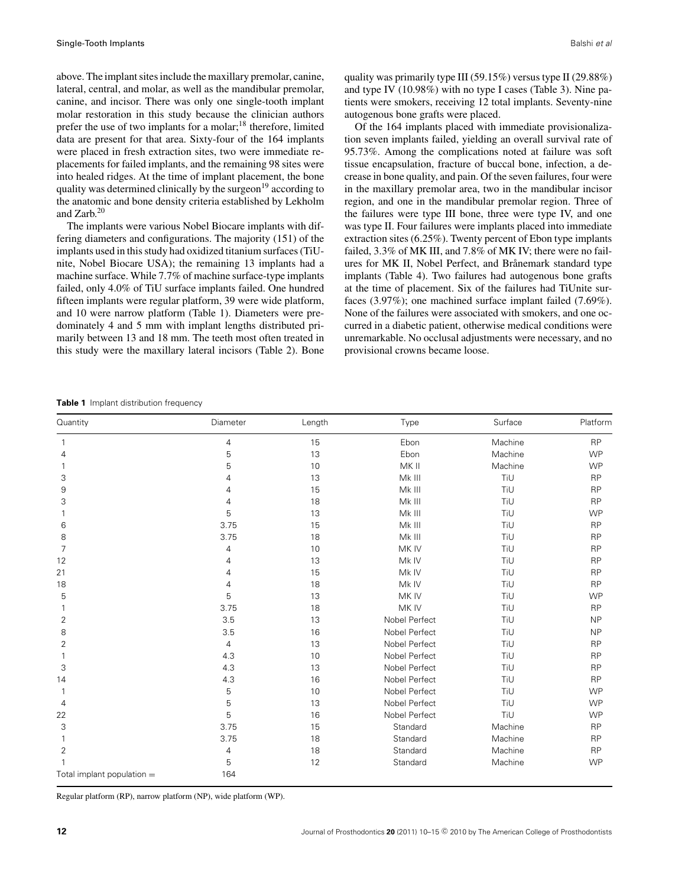above. The implant sites include the maxillary premolar, canine, lateral, central, and molar, as well as the mandibular premolar, canine, and incisor. There was only one single-tooth implant molar restoration in this study because the clinician authors prefer the use of two implants for a molar;18 therefore, limited data are present for that area. Sixty-four of the 164 implants were placed in fresh extraction sites, two were immediate replacements for failed implants, and the remaining 98 sites were into healed ridges. At the time of implant placement, the bone quality was determined clinically by the surgeon<sup>19</sup> according to the anatomic and bone density criteria established by Lekholm and Zarb.20

The implants were various Nobel Biocare implants with differing diameters and configurations. The majority (151) of the implants used in this study had oxidized titanium surfaces (TiUnite, Nobel Biocare USA); the remaining 13 implants had a machine surface. While 7.7% of machine surface-type implants failed, only 4.0% of TiU surface implants failed. One hundred fifteen implants were regular platform, 39 were wide platform, and 10 were narrow platform (Table 1). Diameters were predominately 4 and 5 mm with implant lengths distributed primarily between 13 and 18 mm. The teeth most often treated in this study were the maxillary lateral incisors (Table 2). Bone

quality was primarily type III (59.15%) versus type II (29.88%) and type IV (10.98%) with no type I cases (Table 3). Nine patients were smokers, receiving 12 total implants. Seventy-nine autogenous bone grafts were placed.

Of the 164 implants placed with immediate provisionalization seven implants failed, yielding an overall survival rate of 95.73%. Among the complications noted at failure was soft tissue encapsulation, fracture of buccal bone, infection, a decrease in bone quality, and pain. Of the seven failures, four were in the maxillary premolar area, two in the mandibular incisor region, and one in the mandibular premolar region. Three of the failures were type III bone, three were type IV, and one was type II. Four failures were implants placed into immediate extraction sites (6.25%). Twenty percent of Ebon type implants failed, 3.3% of MK III, and 7.8% of MK IV; there were no failures for MK II, Nobel Perfect, and Brånemark standard type implants (Table 4). Two failures had autogenous bone grafts at the time of placement. Six of the failures had TiUnite surfaces (3.97%); one machined surface implant failed (7.69%). None of the failures were associated with smokers, and one occurred in a diabetic patient, otherwise medical conditions were unremarkable. No occlusal adjustments were necessary, and no provisional crowns became loose.

**Table 1** Implant distribution frequency

| Quantity                     | Diameter       | Length | Type          | Surface | Platform  |  |
|------------------------------|----------------|--------|---------------|---------|-----------|--|
|                              | 4              | 15     | Ebon          | Machine | <b>RP</b> |  |
| 4                            | 5              | 13     | Ebon          | Machine | <b>WP</b> |  |
|                              | 5              | 10     | MK II         | Machine | <b>WP</b> |  |
| 3                            | 4              | 13     | Mk III        | TiU     | <b>RP</b> |  |
| 9                            | 4              | 15     | Mk III        | TiU     | <b>RP</b> |  |
| 3                            | 4              | 18     | Mk III        | TiU     | <b>RP</b> |  |
|                              | 5              | 13     | Mk III        | TiU     | <b>WP</b> |  |
| 6                            | 3.75           | 15     | Mk III        | TiU     | <b>RP</b> |  |
| 8                            | 3.75           | 18     | Mk III        | TiU     | <b>RP</b> |  |
| 7                            | 4              | 10     | MK IV         | TiU     | <b>RP</b> |  |
| 12                           | 4              | 13     | Mk IV         | TiU     | <b>RP</b> |  |
| 21                           | 4              | 15     | Mk IV         | TiU     | <b>RP</b> |  |
| 18                           | 4              | 18     | Mk IV         | TiU     | <b>RP</b> |  |
| 5                            | 5              | 13     | MK IV         | TiU     | <b>WP</b> |  |
|                              | 3.75           | 18     | MK IV         | TiU     | <b>RP</b> |  |
| 2                            | 3.5            | 13     | Nobel Perfect | TiU     | <b>NP</b> |  |
| 8                            | 3.5            | 16     | Nobel Perfect | TiU     | <b>NP</b> |  |
| $\overline{2}$               | $\overline{4}$ | 13     | Nobel Perfect | TiU     | <b>RP</b> |  |
| 1                            | 4.3            | 10     | Nobel Perfect | TiU     | <b>RP</b> |  |
| 3                            | 4.3            | 13     | Nobel Perfect | TiU     | <b>RP</b> |  |
| 14                           | 4.3            | 16     | Nobel Perfect | TiU     | <b>RP</b> |  |
|                              | 5              | 10     | Nobel Perfect | TiU     | <b>WP</b> |  |
| 4                            | 5              | 13     | Nobel Perfect | TiU     | <b>WP</b> |  |
| 22                           | 5              | 16     | Nobel Perfect | TiU     | <b>WP</b> |  |
| 3                            | 3.75           | 15     | Standard      | Machine | <b>RP</b> |  |
| 1                            | 3.75           | 18     | Standard      | Machine | <b>RP</b> |  |
| $\overline{2}$               | 4              | 18     | Standard      | Machine | <b>RP</b> |  |
|                              | 5              | 12     | Standard      | Machine | <b>WP</b> |  |
| Total implant population $=$ | 164            |        |               |         |           |  |

Regular platform (RP), narrow platform (NP), wide platform (WP).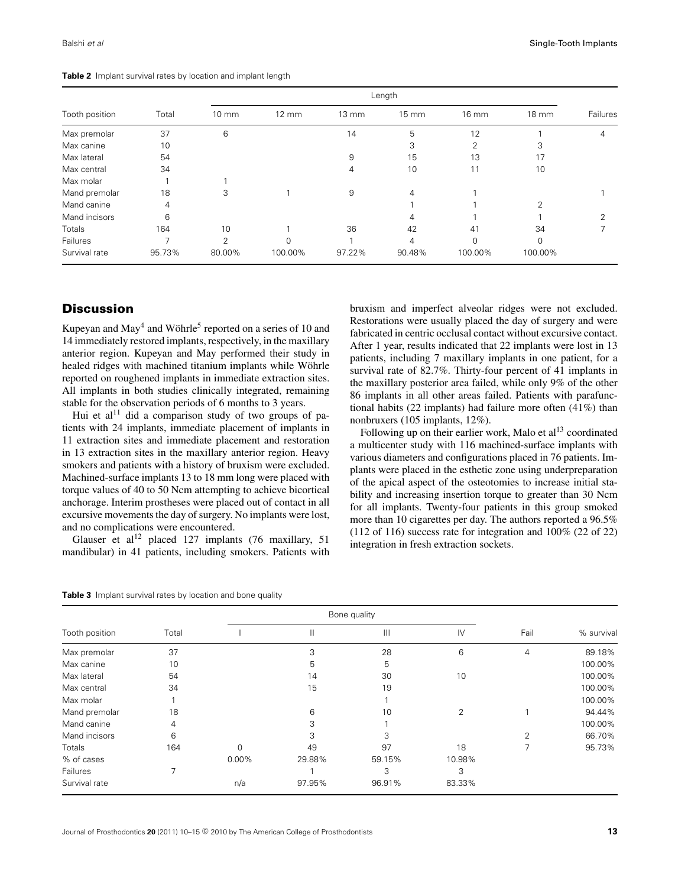| Tooth position |        |                 | Length            |                   |                   |          |                 |          |  |
|----------------|--------|-----------------|-------------------|-------------------|-------------------|----------|-----------------|----------|--|
|                | Total  | $10 \text{ mm}$ | $12 \, \text{mm}$ | $13 \, \text{mm}$ | $15 \, \text{mm}$ | 16 mm    | $18 \text{ mm}$ | Failures |  |
| Max premolar   | 37     | 6               |                   | 14                | 5                 | 12       |                 | 4        |  |
| Max canine     | 10     |                 |                   |                   | 3                 | 2        | 3               |          |  |
| Max lateral    | 54     |                 |                   | 9                 | 15                | 13       | 17              |          |  |
| Max central    | 34     |                 |                   | 4                 | 10                | 11       | 10              |          |  |
| Max molar      |        |                 |                   |                   |                   |          |                 |          |  |
| Mand premolar  | 18     | 3               |                   | 9                 | 4                 |          |                 |          |  |
| Mand canine    | 4      |                 |                   |                   |                   |          | $\overline{2}$  |          |  |
| Mand incisors  | 6      |                 |                   |                   | 4                 |          |                 | $\Omega$ |  |
| Totals         | 164    | 10              |                   | 36                | 42                | 41       | 34              |          |  |
| Failures       | ⇁      | C               | 0                 |                   | 4                 | $\Omega$ | $\Omega$        |          |  |
| Survival rate  | 95.73% | 80.00%          | 100.00%           | 97.22%            | 90.48%            | 100.00%  | 100.00%         |          |  |

**Table 2** Implant survival rates by location and implant length

## **Discussion**

Kupeyan and  $\text{May}^4$  and Wöhrle<sup>5</sup> reported on a series of 10 and 14 immediately restored implants, respectively, in the maxillary anterior region. Kupeyan and May performed their study in healed ridges with machined titanium implants while Wöhrle reported on roughened implants in immediate extraction sites. All implants in both studies clinically integrated, remaining stable for the observation periods of 6 months to 3 years.

Hui et al<sup>11</sup> did a comparison study of two groups of patients with 24 implants, immediate placement of implants in 11 extraction sites and immediate placement and restoration in 13 extraction sites in the maxillary anterior region. Heavy smokers and patients with a history of bruxism were excluded. Machined-surface implants 13 to 18 mm long were placed with torque values of 40 to 50 Ncm attempting to achieve bicortical anchorage. Interim prostheses were placed out of contact in all excursive movements the day of surgery. No implants were lost, and no complications were encountered.

Glauser et al<sup>12</sup> placed 127 implants (76 maxillary, 51) mandibular) in 41 patients, including smokers. Patients with bruxism and imperfect alveolar ridges were not excluded. Restorations were usually placed the day of surgery and were fabricated in centric occlusal contact without excursive contact. After 1 year, results indicated that 22 implants were lost in 13 patients, including 7 maxillary implants in one patient, for a survival rate of 82.7%. Thirty-four percent of 41 implants in the maxillary posterior area failed, while only 9% of the other 86 implants in all other areas failed. Patients with parafunctional habits (22 implants) had failure more often (41%) than nonbruxers (105 implants, 12%).

Following up on their earlier work, Malo et  $al<sup>13</sup>$  coordinated a multicenter study with 116 machined-surface implants with various diameters and configurations placed in 76 patients. Implants were placed in the esthetic zone using underpreparation of the apical aspect of the osteotomies to increase initial stability and increasing insertion torque to greater than 30 Ncm for all implants. Twenty-four patients in this group smoked more than 10 cigarettes per day. The authors reported a 96.5% (112 of 116) success rate for integration and 100% (22 of 22) integration in fresh extraction sockets.

|  | <b>Table 3</b> Implant survival rates by location and bone quality |  |  |  |  |  |  |  |
|--|--------------------------------------------------------------------|--|--|--|--|--|--|--|
|--|--------------------------------------------------------------------|--|--|--|--|--|--|--|

|                |       |          | Bone quality |                |               |                |            |
|----------------|-------|----------|--------------|----------------|---------------|----------------|------------|
| Tooth position | Total |          |              | $\mathbf{III}$ | $\mathsf{IV}$ | Fail           | % survival |
| Max premolar   | 37    |          | 3            | 28             | 6             | 4              | 89.18%     |
| Max canine     | 10    |          | 5            | 5              |               |                | 100.00%    |
| Max lateral    | 54    |          | 14           | 30             | 10            |                | 100.00%    |
| Max central    | 34    |          | 15           | 19             |               |                | 100.00%    |
| Max molar      |       |          |              |                |               |                | 100.00%    |
| Mand premolar  | 18    |          | 6            | 10             | 2             |                | 94.44%     |
| Mand canine    | 4     |          | 3            |                |               |                | 100.00%    |
| Mand incisors  | 6     |          | 3            | 3              |               | $\overline{2}$ | 66.70%     |
| <b>Totals</b>  | 164   | $\Omega$ | 49           | 97             | 18            | 7              | 95.73%     |
| % of cases     |       | $0.00\%$ | 29.88%       | 59.15%         | 10.98%        |                |            |
| Failures       |       |          |              | 3              | 3             |                |            |
| Survival rate  |       | n/a      | 97.95%       | 96.91%         | 83.33%        |                |            |

Journal of Prosthodontics 20 (2011) 10–15 © 2010 by The American College of Prosthodontists **13**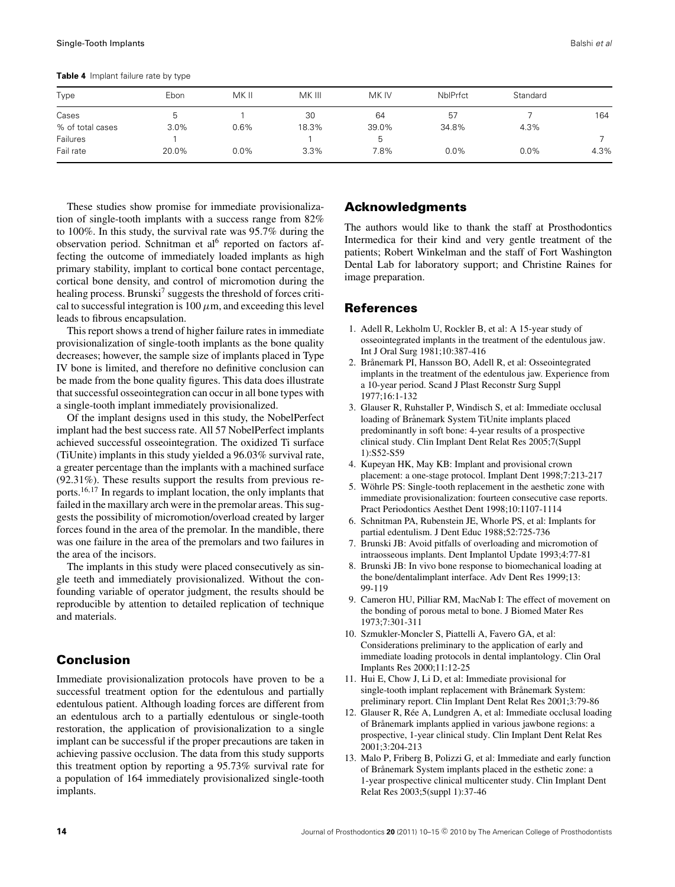**Table 4** Implant failure rate by type

| Type             | Ebon  | MK II | MK III | MK IV | <b>NbIPrfct</b> | Standard |      |
|------------------|-------|-------|--------|-------|-----------------|----------|------|
|                  |       |       |        |       |                 |          |      |
| Cases            | b.    |       | 30     | 64    | 57              |          | 164  |
| % of total cases | 3.0%  | 0.6%  | 18.3%  | 39.0% | 34.8%           | 4.3%     |      |
| Failures         |       |       |        | b     |                 |          |      |
| Fail rate        | 20.0% | 0.0%  | 3.3%   | 7.8%  | $0.0\%$         | $0.0\%$  | 4.3% |

These studies show promise for immediate provisionalization of single-tooth implants with a success range from 82% to 100%. In this study, the survival rate was 95.7% during the observation period. Schnitman et al<sup>6</sup> reported on factors affecting the outcome of immediately loaded implants as high primary stability, implant to cortical bone contact percentage, cortical bone density, and control of micromotion during the healing process. Brunski<sup>7</sup> suggests the threshold of forces critical to successful integration is  $100 \mu$ m, and exceeding this level leads to fibrous encapsulation.

This report shows a trend of higher failure rates in immediate provisionalization of single-tooth implants as the bone quality decreases; however, the sample size of implants placed in Type IV bone is limited, and therefore no definitive conclusion can be made from the bone quality figures. This data does illustrate that successful osseointegration can occur in all bone types with a single-tooth implant immediately provisionalized.

Of the implant designs used in this study, the NobelPerfect implant had the best success rate. All 57 NobelPerfect implants achieved successful osseointegration. The oxidized Ti surface (TiUnite) implants in this study yielded a 96.03% survival rate, a greater percentage than the implants with a machined surface (92.31%). These results support the results from previous reports.16,<sup>17</sup> In regards to implant location, the only implants that failed in the maxillary arch were in the premolar areas. This suggests the possibility of micromotion/overload created by larger forces found in the area of the premolar. In the mandible, there was one failure in the area of the premolars and two failures in the area of the incisors.

The implants in this study were placed consecutively as single teeth and immediately provisionalized. Without the confounding variable of operator judgment, the results should be reproducible by attention to detailed replication of technique and materials.

# **Conclusion**

Immediate provisionalization protocols have proven to be a successful treatment option for the edentulous and partially edentulous patient. Although loading forces are different from an edentulous arch to a partially edentulous or single-tooth restoration, the application of provisionalization to a single implant can be successful if the proper precautions are taken in achieving passive occlusion. The data from this study supports this treatment option by reporting a 95.73% survival rate for a population of 164 immediately provisionalized single-tooth implants.

# **Acknowledgments**

The authors would like to thank the staff at Prosthodontics Intermedica for their kind and very gentle treatment of the patients; Robert Winkelman and the staff of Fort Washington Dental Lab for laboratory support; and Christine Raines for image preparation.

#### **References**

- 1. Adell R, Lekholm U, Rockler B, et al: A 15-year study of osseointegrated implants in the treatment of the edentulous jaw. Int J Oral Surg 1981;10:387-416
- 2. Brånemark PI, Hansson BO, Adell R, et al: Osseointegrated implants in the treatment of the edentulous jaw. Experience from a 10-year period. Scand J Plast Reconstr Surg Suppl 1977;16:1-132
- 3. Glauser R, Ruhstaller P, Windisch S, et al: Immediate occlusal loading of Brånemark System TiUnite implants placed predominantly in soft bone: 4-year results of a prospective clinical study. Clin Implant Dent Relat Res 2005;7(Suppl 1):S52-S59
- 4. Kupeyan HK, May KB: Implant and provisional crown placement: a one-stage protocol. Implant Dent 1998;7:213-217
- 5. Wöhrle PS: Single-tooth replacement in the aesthetic zone with immediate provisionalization: fourteen consecutive case reports. Pract Periodontics Aesthet Dent 1998;10:1107-1114
- 6. Schnitman PA, Rubenstein JE, Whorle PS, et al: Implants for partial edentulism. J Dent Educ 1988;52:725-736
- 7. Brunski JB: Avoid pitfalls of overloading and micromotion of intraosseous implants. Dent Implantol Update 1993;4:77-81
- 8. Brunski JB: In vivo bone response to biomechanical loading at the bone/dentalimplant interface. Adv Dent Res 1999;13: 99-119
- 9. Cameron HU, Pilliar RM, MacNab I: The effect of movement on the bonding of porous metal to bone. J Biomed Mater Res 1973;7:301-311
- 10. Szmukler-Moncler S, Piattelli A, Favero GA, et al: Considerations preliminary to the application of early and immediate loading protocols in dental implantology. Clin Oral Implants Res 2000;11:12-25
- 11. Hui E, Chow J, Li D, et al: Immediate provisional for single-tooth implant replacement with Brånemark System: preliminary report. Clin Implant Dent Relat Res 2001;3:79-86
- 12. Glauser R, Ree A, Lundgren A, et al: Immediate occlusal loading ´ of Brånemark implants applied in various jawbone regions: a prospective, 1-year clinical study. Clin Implant Dent Relat Res 2001;3:204-213
- 13. Malo P, Friberg B, Polizzi G, et al: Immediate and early function of Brånemark System implants placed in the esthetic zone: a 1-year prospective clinical multicenter study. Clin Implant Dent Relat Res 2003;5(suppl 1):37-46